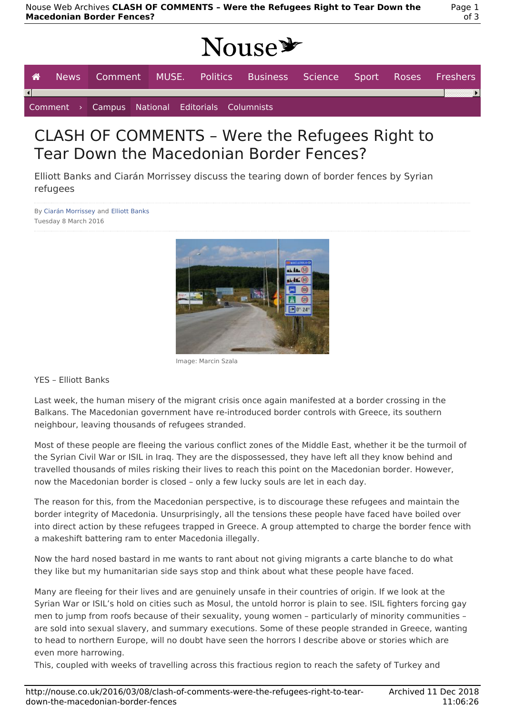# Nouse\*

|  |  |  |  |  |                                                 | │ <i>▲</i> News Comment MUSE. Politics Business Science Sport Roses Freshers |  |  |  |  |
|--|--|--|--|--|-------------------------------------------------|------------------------------------------------------------------------------|--|--|--|--|
|  |  |  |  |  |                                                 |                                                                              |  |  |  |  |
|  |  |  |  |  | Comment > Campus National Editorials Columnists |                                                                              |  |  |  |  |

# CLASH OF COMMENTS – Were the Refugees Right to Tear Down the Macedonian Border Fences?

Elliott Banks and Ciarán Morrissey discuss the tearing down of border fences by Syrian refugees

By Ciarán Morrissey and Elliott Banks Tuesday 8 March 2016



Image: Marcin Szala

YES – Elliott Banks

Last week, the human misery of the migrant crisis once again manifested at a border crossing in the Balkans. The Macedonian government have re-introduced border controls with Greece, its southern neighbour, leaving thousands of refugees stranded.

Most of these people are fleeing the various conflict zones of the Middle East, whether it be the turmoil of the Syrian Civil War or ISIL in Iraq. They are the dispossessed, they have left all they know behind and travelled thousands of miles risking their lives to reach this point on the Macedonian border. However, now the Macedonian border is closed – only a few lucky souls are let in each day.

The reason for this, from the Macedonian perspective, is to discourage these refugees and maintain the border integrity of Macedonia. Unsurprisingly, all the tensions these people have faced have boiled over into direct action by these refugees trapped in Greece. A group attempted to charge the border fence with a makeshift battering ram to enter Macedonia illegally.

Now the hard nosed bastard in me wants to rant about not giving migrants a carte blanche to do what they like but my humanitarian side says stop and think about what these people have faced.

Many are fleeing for their lives and are genuinely unsafe in their countries of origin. If we look at the Syrian War or ISIL's hold on cities such as Mosul, the untold horror is plain to see. ISIL fighters forcing gay men to jump from roofs because of their sexuality, young women – particularly of minority communities – are sold into sexual slavery, and summary executions. Some of these people stranded in Greece, wanting to head to northern Europe, will no doubt have seen the horrors I describe above or stories which are even more harrowing.

This, coupled with weeks of travelling across this fractious region to reach the safety of Turkey and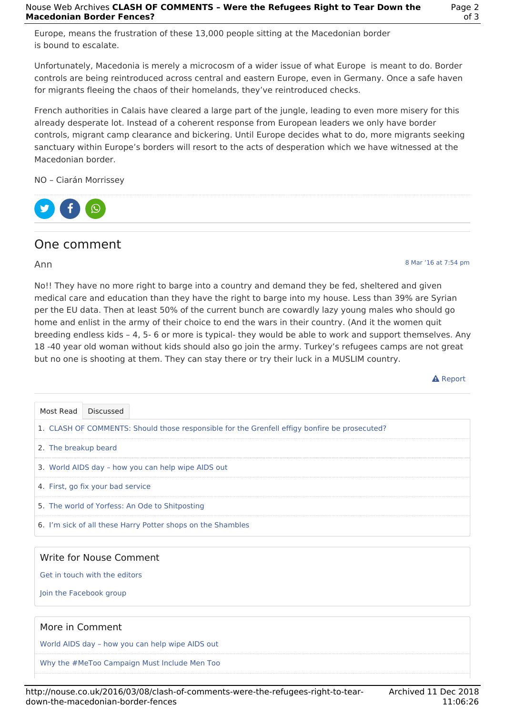Europe, means the frustration of these 13,000 people sitting at the Macedonian border is bound to escalate.

Unfortunately, Macedonia is merely a microcosm of a wider issue of what Europe is meant to do. Border controls are being reintroduced across central and eastern Europe, even in Germany. Once a safe haven for migrants fleeing the chaos of their homelands, they've reintroduced checks.

French authorities in Calais have cleared a large part of the jungle, leading to even more misery for this already desperate lot. Instead of a coherent response from European leaders we only have border controls, migrant camp clearance and bickering. Until Europe decides what to do, more migrants seeking sanctuary within Europe's borders will resort to the acts of desperation which we have witnessed at the Macedonian border.

NO – Ciarán Morrissey



## One comment

#### Ann

No!! They have no more right to barge into a country and demand they be fed, sheltered and given medical care and education than they have the right to barge into my house. Less than 39% are Syrian per the EU data. Then at least 50% of the current bunch are cowardly lazy young males who should go home and enlist in the army of their choice to end the wars in their country. (And it the women quit breeding endless kids – 4, 5- 6 or more is typical- they would be able to work and support themselves. Any 18 -40 year old woman without kids should also go join the army. Turkey's refugees camps are not great but no one is shooting at them. They can stay there or try their luck in a MUSLIM country.

**A** Report

8 Mar '16 at 7:54 pm

Get in touch with the editors

Join the Facebook group

### More in Comment

World AIDS day – how you can help wipe AIDS out

Why the #MeToo Campaign Must Include Men Too